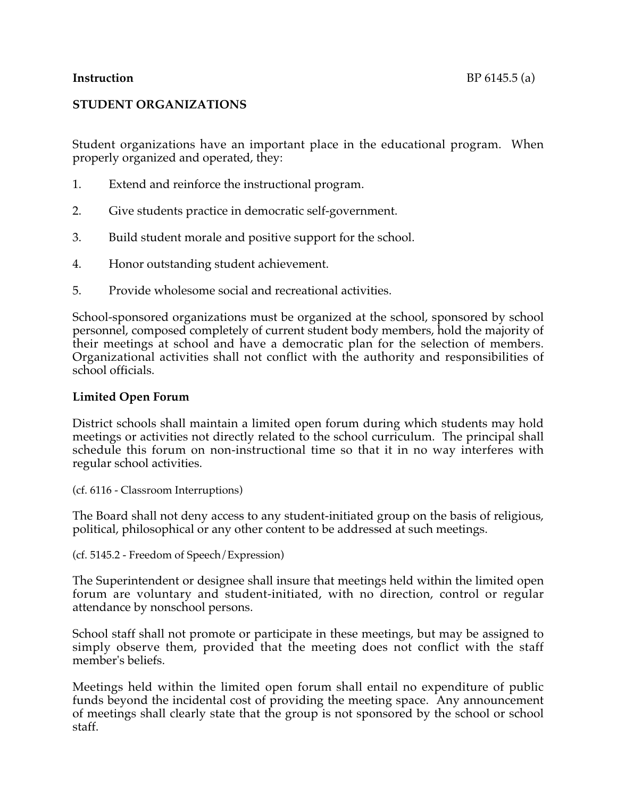# **STUDENT ORGANIZATIONS**

Student organizations have an important place in the educational program. When properly organized and operated, they:

- 1. Extend and reinforce the instructional program.
- 2. Give students practice in democratic self-government.
- 3. Build student morale and positive support for the school.
- 4. Honor outstanding student achievement.
- 5. Provide wholesome social and recreational activities.

School-sponsored organizations must be organized at the school, sponsored by school personnel, composed completely of current student body members, hold the majority of their meetings at school and have a democratic plan for the selection of members. Organizational activities shall not conflict with the authority and responsibilities of school officials.

## **Limited Open Forum**

District schools shall maintain a limited open forum during which students may hold meetings or activities not directly related to the school curriculum. The principal shall schedule this forum on non-instructional time so that it in no way interferes with regular school activities.

(cf. 6116 - Classroom Interruptions)

The Board shall not deny access to any student-initiated group on the basis of religious, political, philosophical or any other content to be addressed at such meetings.

(cf. 5145.2 - Freedom of Speech/Expression)

The Superintendent or designee shall insure that meetings held within the limited open forum are voluntary and student-initiated, with no direction, control or regular attendance by nonschool persons.

School staff shall not promote or participate in these meetings, but may be assigned to simply observe them, provided that the meeting does not conflict with the staff member's beliefs.

Meetings held within the limited open forum shall entail no expenditure of public funds beyond the incidental cost of providing the meeting space. Any announcement of meetings shall clearly state that the group is not sponsored by the school or school staff.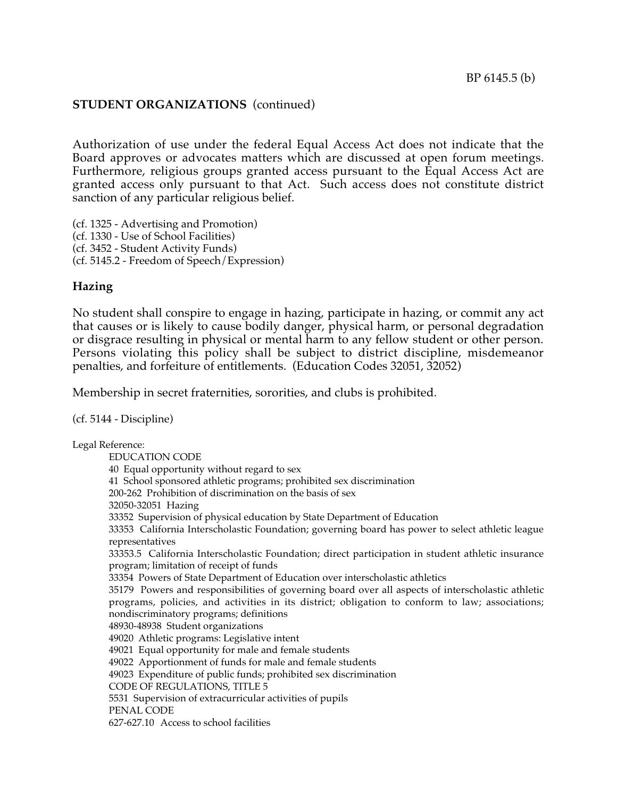### **STUDENT ORGANIZATIONS** (continued)

Authorization of use under the federal Equal Access Act does not indicate that the Board approves or advocates matters which are discussed at open forum meetings. Furthermore, religious groups granted access pursuant to the Equal Access Act are granted access only pursuant to that Act. Such access does not constitute district sanction of any particular religious belief.

(cf. 1325 - Advertising and Promotion) (cf. 1330 - Use of School Facilities) (cf. 3452 - Student Activity Funds) (cf. 5145.2 - Freedom of Speech/Expression)

### **Hazing**

No student shall conspire to engage in hazing, participate in hazing, or commit any act that causes or is likely to cause bodily danger, physical harm, or personal degradation or disgrace resulting in physical or mental harm to any fellow student or other person. Persons violating this policy shall be subject to district discipline, misdemeanor penalties, and forfeiture of entitlements. (Education Codes 32051, 32052)

Membership in secret fraternities, sororities, and clubs is prohibited.

(cf. 5144 - Discipline)

Legal Reference: EDUCATION CODE 40 Equal opportunity without regard to sex 41 School sponsored athletic programs; prohibited sex discrimination 200-262 Prohibition of discrimination on the basis of sex 32050-32051 Hazing 33352 Supervision of physical education by State Department of Education 33353 California Interscholastic Foundation; governing board has power to select athletic league representatives 33353.5 California Interscholastic Foundation; direct participation in student athletic insurance program; limitation of receipt of funds 33354 Powers of State Department of Education over interscholastic athletics 35179 Powers and responsibilities of governing board over all aspects of interscholastic athletic programs, policies, and activities in its district; obligation to conform to law; associations; nondiscriminatory programs; definitions 48930-48938 Student organizations 49020 Athletic programs: Legislative intent 49021 Equal opportunity for male and female students 49022 Apportionment of funds for male and female students 49023 Expenditure of public funds; prohibited sex discrimination CODE OF REGULATIONS, TITLE 5 5531 Supervision of extracurricular activities of pupils PENAL CODE 627-627.10 Access to school facilities